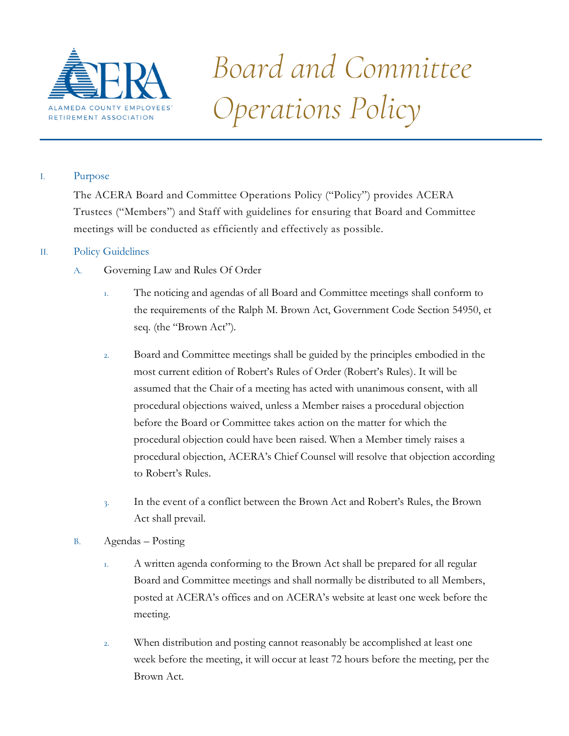

# *Board and Committee Operations Policy*

# I. Purpose

The ACERA Board and Committee Operations Policy ("Policy") provides ACERA Trustees ("Members") and Staff with guidelines for ensuring that Board and Committee meetings will be conducted as efficiently and effectively as possible.

# II. Policy Guidelines

- A. Governing Law and Rules Of Order
	- 1. The noticing and agendas of all Board and Committee meetings shall conform to the requirements of the Ralph M. Brown Act, Government Code Section 54950, et seq. (the "Brown Act").
	- 2. Board and Committee meetings shall be guided by the principles embodied in the most current edition of Robert's Rules of Order (Robert's Rules). It will be assumed that the Chair of a meeting has acted with unanimous consent, with all procedural objections waived, unless a Member raises a procedural objection before the Board or Committee takes action on the matter for which the procedural objection could have been raised. When a Member timely raises a procedural objection, ACERA's Chief Counsel will resolve that objection according to Robert's Rules.
	- 3. In the event of a conflict between the Brown Act and Robert's Rules, the Brown Act shall prevail.
- B. Agendas Posting
	- 1. A written agenda conforming to the Brown Act shall be prepared for all regular Board and Committee meetings and shall normally be distributed to all Members, posted at ACERA's offices and on ACERA's website at least one week before the meeting.
	- 2. When distribution and posting cannot reasonably be accomplished at least one week before the meeting, it will occur at least 72 hours before the meeting, per the Brown Act.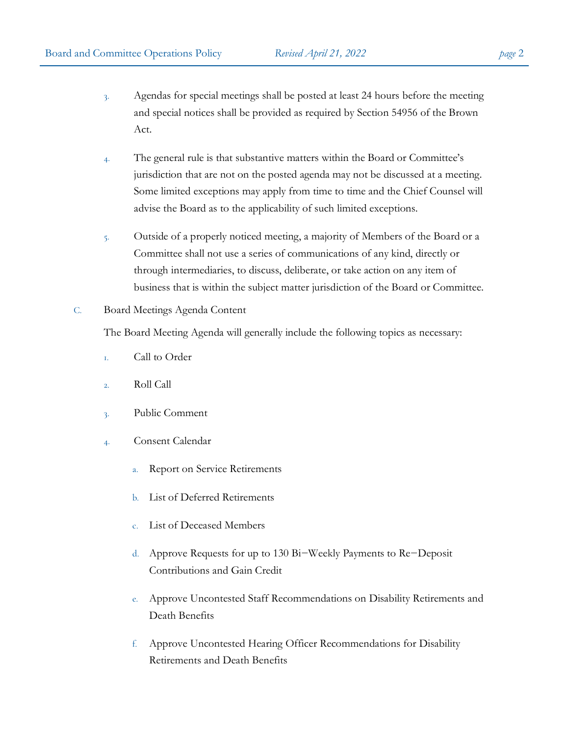- 3. Agendas for special meetings shall be posted at least 24 hours before the meeting and special notices shall be provided as required by Section 54956 of the Brown Act.
- 4. The general rule is that substantive matters within the Board or Committee's jurisdiction that are not on the posted agenda may not be discussed at a meeting. Some limited exceptions may apply from time to time and the Chief Counsel will advise the Board as to the applicability of such limited exceptions.
- 5. Outside of a properly noticed meeting, a majority of Members of the Board or a Committee shall not use a series of communications of any kind, directly or through intermediaries, to discuss, deliberate, or take action on any item of business that is within the subject matter jurisdiction of the Board or Committee.

## C. Board Meetings Agenda Content

The Board Meeting Agenda will generally include the following topics as necessary:

- 1. Call to Order
- 2. Roll Call
- 3. Public Comment
- 4. Consent Calendar
	- a. Report on Service Retirements
	- b. List of Deferred Retirements
	- c. List of Deceased Members
	- d. Approve Requests for up to 130 Bi−Weekly Payments to Re−Deposit Contributions and Gain Credit
	- e. Approve Uncontested Staff Recommendations on Disability Retirements and Death Benefits
	- f. Approve Uncontested Hearing Officer Recommendations for Disability Retirements and Death Benefits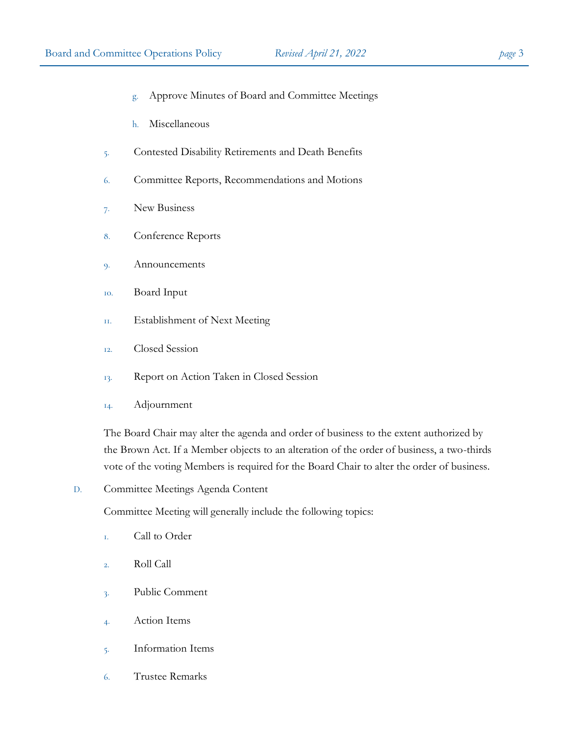- g. Approve Minutes of Board and Committee Meetings
- h. Miscellaneous
- 5. Contested Disability Retirements and Death Benefits
- 6. Committee Reports, Recommendations and Motions
- 7. New Business
- 8. Conference Reports
- 9. Announcements
- 10. Board Input
- 11. Establishment of Next Meeting
- 12. Closed Session
- 13. Report on Action Taken in Closed Session
- 14. Adjournment

The Board Chair may alter the agenda and order of business to the extent authorized by the Brown Act. If a Member objects to an alteration of the order of business, a two-thirds vote of the voting Members is required for the Board Chair to alter the order of business.

D. Committee Meetings Agenda Content

Committee Meeting will generally include the following topics:

- 1. Call to Order
- 2. Roll Call
- 3. Public Comment
- 4. Action Items
- 5. Information Items
- 6. Trustee Remarks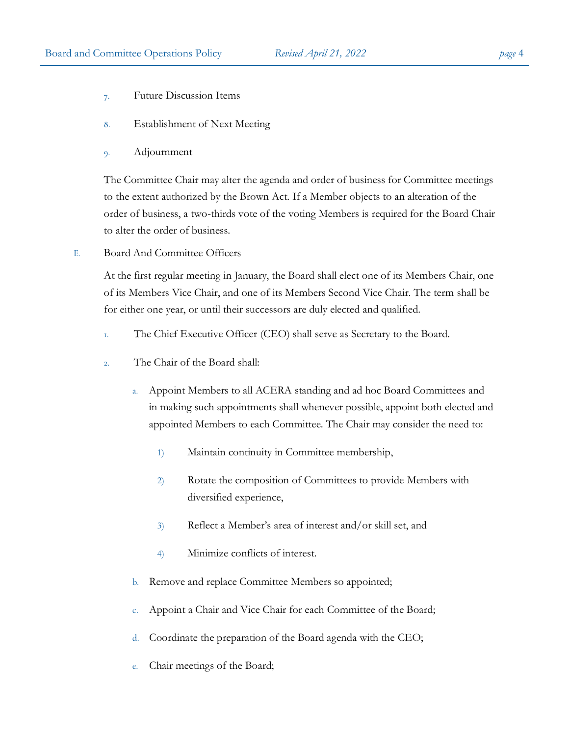- 7. Future Discussion Items
- 8. Establishment of Next Meeting
- 9. Adjournment

The Committee Chair may alter the agenda and order of business for Committee meetings to the extent authorized by the Brown Act. If a Member objects to an alteration of the order of business, a two-thirds vote of the voting Members is required for the Board Chair to alter the order of business.

E. Board And Committee Officers

At the first regular meeting in January, the Board shall elect one of its Members Chair, one of its Members Vice Chair, and one of its Members Second Vice Chair. The term shall be for either one year, or until their successors are duly elected and qualified.

- 1. The Chief Executive Officer (CEO) shall serve as Secretary to the Board.
- 2. The Chair of the Board shall:
	- a. Appoint Members to all ACERA standing and ad hoc Board Committees and in making such appointments shall whenever possible, appoint both elected and appointed Members to each Committee. The Chair may consider the need to:
		- 1) Maintain continuity in Committee membership,
		- 2) Rotate the composition of Committees to provide Members with diversified experience,
		- 3) Reflect a Member's area of interest and/or skill set, and
		- 4) Minimize conflicts of interest.
	- b. Remove and replace Committee Members so appointed;
	- c. Appoint a Chair and Vice Chair for each Committee of the Board;
	- d. Coordinate the preparation of the Board agenda with the CEO;
	- e. Chair meetings of the Board;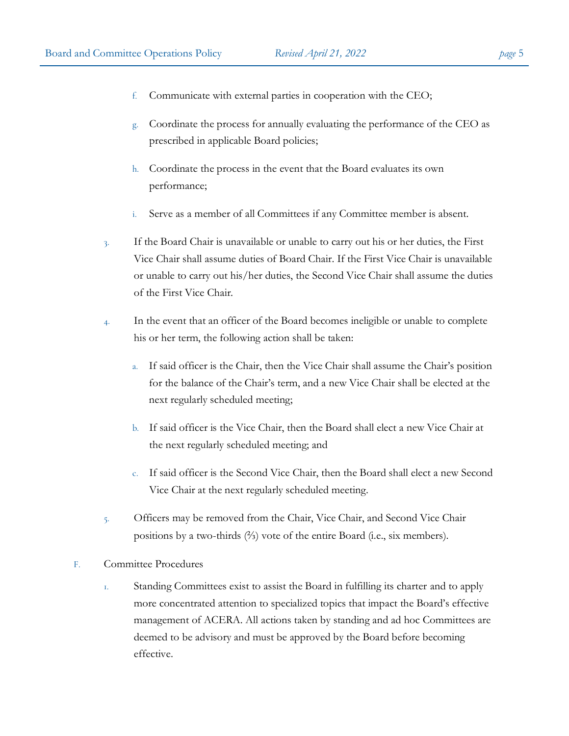- 
- f. Communicate with external parties in cooperation with the CEO;
- g. Coordinate the process for annually evaluating the performance of the CEO as prescribed in applicable Board policies;
- h. Coordinate the process in the event that the Board evaluates its own performance;
- i. Serve as a member of all Committees if any Committee member is absent.
- 3. If the Board Chair is unavailable or unable to carry out his or her duties, the First Vice Chair shall assume duties of Board Chair. If the First Vice Chair is unavailable or unable to carry out his/her duties, the Second Vice Chair shall assume the duties of the First Vice Chair.
- 4. In the event that an officer of the Board becomes ineligible or unable to complete his or her term, the following action shall be taken:
	- a. If said officer is the Chair, then the Vice Chair shall assume the Chair's position for the balance of the Chair's term, and a new Vice Chair shall be elected at the next regularly scheduled meeting;
	- b. If said officer is the Vice Chair, then the Board shall elect a new Vice Chair at the next regularly scheduled meeting; and
	- c. If said officer is the Second Vice Chair, then the Board shall elect a new Second Vice Chair at the next regularly scheduled meeting.
- 5. Officers may be removed from the Chair, Vice Chair, and Second Vice Chair positions by a two-thirds (⅔) vote of the entire Board (i.e., six members).
- F. Committee Procedures
	- 1. Standing Committees exist to assist the Board in fulfilling its charter and to apply more concentrated attention to specialized topics that impact the Board's effective management of ACERA. All actions taken by standing and ad hoc Committees are deemed to be advisory and must be approved by the Board before becoming effective.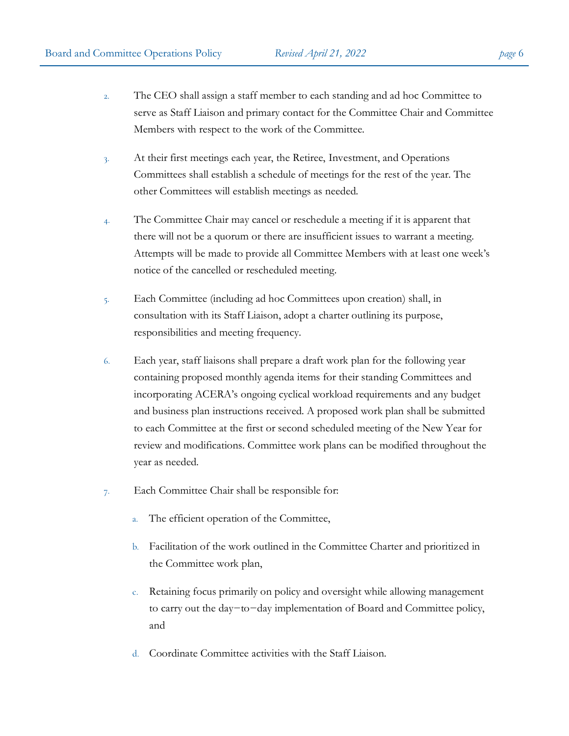- 2. The CEO shall assign a staff member to each standing and ad hoc Committee to serve as Staff Liaison and primary contact for the Committee Chair and Committee Members with respect to the work of the Committee.
- 3. At their first meetings each year, the Retiree, Investment, and Operations Committees shall establish a schedule of meetings for the rest of the year. The other Committees will establish meetings as needed.
- 4. The Committee Chair may cancel or reschedule a meeting if it is apparent that there will not be a quorum or there are insufficient issues to warrant a meeting. Attempts will be made to provide all Committee Members with at least one week's notice of the cancelled or rescheduled meeting.
- 5. Each Committee (including ad hoc Committees upon creation) shall, in consultation with its Staff Liaison, adopt a charter outlining its purpose, responsibilities and meeting frequency.
- 6. Each year, staff liaisons shall prepare a draft work plan for the following year containing proposed monthly agenda items for their standing Committees and incorporating ACERA's ongoing cyclical workload requirements and any budget and business plan instructions received. A proposed work plan shall be submitted to each Committee at the first or second scheduled meeting of the New Year for review and modifications. Committee work plans can be modified throughout the year as needed.
- 7. Each Committee Chair shall be responsible for:
	- a. The efficient operation of the Committee,
	- b. Facilitation of the work outlined in the Committee Charter and prioritized in the Committee work plan,
	- c. Retaining focus primarily on policy and oversight while allowing management to carry out the day−to−day implementation of Board and Committee policy, and
	- d. Coordinate Committee activities with the Staff Liaison.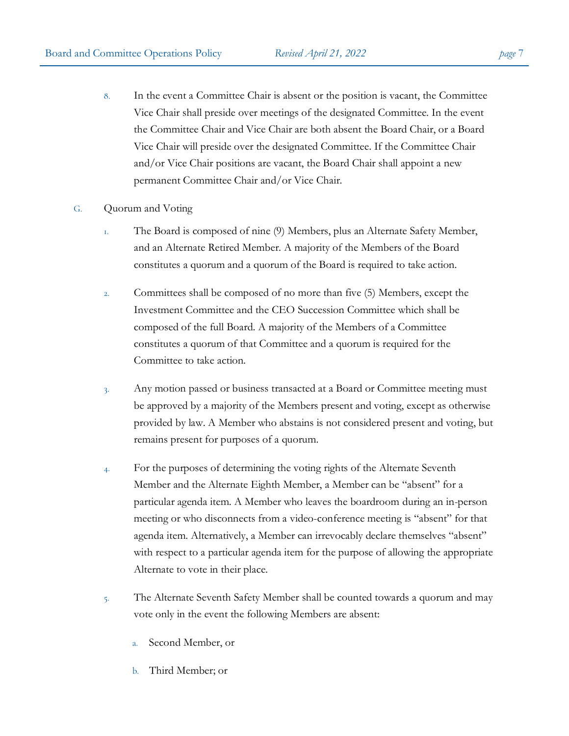- 8. In the event a Committee Chair is absent or the position is vacant, the Committee Vice Chair shall preside over meetings of the designated Committee. In the event the Committee Chair and Vice Chair are both absent the Board Chair, or a Board Vice Chair will preside over the designated Committee. If the Committee Chair and/or Vice Chair positions are vacant, the Board Chair shall appoint a new permanent Committee Chair and/or Vice Chair.
- G. Quorum and Voting
	- 1. The Board is composed of nine (9) Members, plus an Alternate Safety Member, and an Alternate Retired Member. A majority of the Members of the Board constitutes a quorum and a quorum of the Board is required to take action.
	- 2. Committees shall be composed of no more than five (5) Members, except the Investment Committee and the CEO Succession Committee which shall be composed of the full Board. A majority of the Members of a Committee constitutes a quorum of that Committee and a quorum is required for the Committee to take action.
	- 3. Any motion passed or business transacted at a Board or Committee meeting must be approved by a majority of the Members present and voting, except as otherwise provided by law. A Member who abstains is not considered present and voting, but remains present for purposes of a quorum.
	- 4. For the purposes of determining the voting rights of the Alternate Seventh Member and the Alternate Eighth Member, a Member can be "absent" for a particular agenda item. A Member who leaves the boardroom during an in-person meeting or who disconnects from a video-conference meeting is "absent" for that agenda item. Alternatively, a Member can irrevocably declare themselves "absent" with respect to a particular agenda item for the purpose of allowing the appropriate Alternate to vote in their place.
	- 5. The Alternate Seventh Safety Member shall be counted towards a quorum and may vote only in the event the following Members are absent:
		- a. Second Member, or
		- b. Third Member; or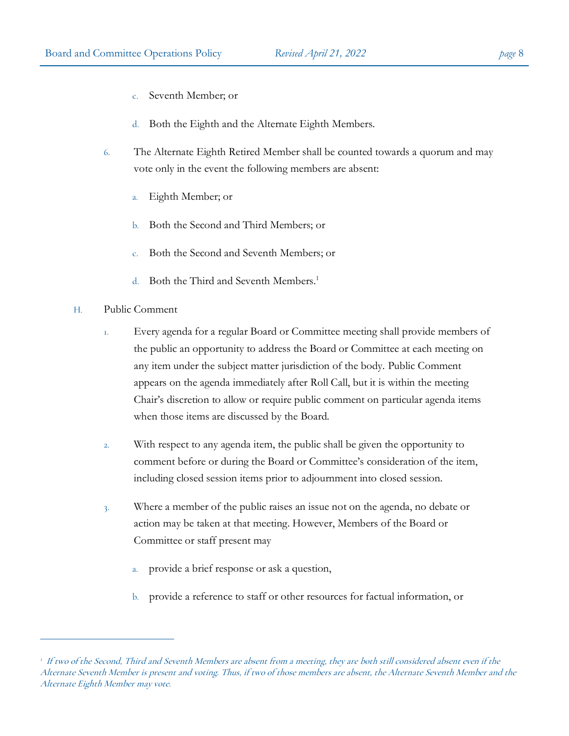- c. Seventh Member; or
- d. Both the Eighth and the Alternate Eighth Members.
- 6. The Alternate Eighth Retired Member shall be counted towards a quorum and may vote only in the event the following members are absent:
	- a. Eighth Member; or
	- b. Both the Second and Third Members; or
	- c. Both the Second and Seventh Members; or
	- d. Both the Third and Seventh Members.<sup>1</sup>
- H. Public Comment
	- 1. Every agenda for a regular Board or Committee meeting shall provide members of the public an opportunity to address the Board or Committee at each meeting on any item under the subject matter jurisdiction of the body. Public Comment appears on the agenda immediately after Roll Call, but it is within the meeting Chair's discretion to allow or require public comment on particular agenda items when those items are discussed by the Board.
	- 2. With respect to any agenda item, the public shall be given the opportunity to comment before or during the Board or Committee's consideration of the item, including closed session items prior to adjournment into closed session.
	- 3. Where a member of the public raises an issue not on the agenda, no debate or action may be taken at that meeting. However, Members of the Board or Committee or staff present may
		- a. provide a brief response or ask a question,
		- b. provide a reference to staff or other resources for factual information, or

<sup>1</sup> If two of the Second, Third and Seventh Members are absent from a meeting, they are both still considered absent even if the Alternate Seventh Member is present and voting. Thus, if two of those members are absent, the Alternate Seventh Member and the Alternate Eighth Member may vote.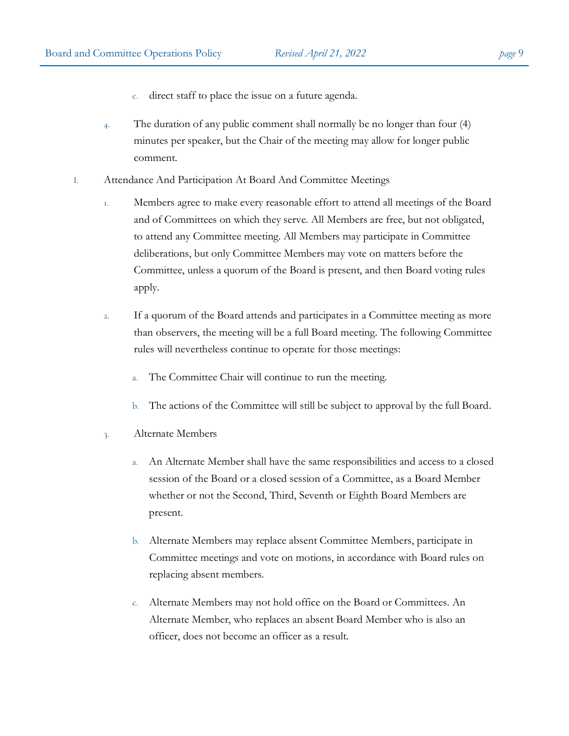- c. direct staff to place the issue on a future agenda.
- 4. The duration of any public comment shall normally be no longer than four (4) minutes per speaker, but the Chair of the meeting may allow for longer public comment.
- I. Attendance And Participation At Board And Committee Meetings
	- 1. Members agree to make every reasonable effort to attend all meetings of the Board and of Committees on which they serve. All Members are free, but not obligated, to attend any Committee meeting. All Members may participate in Committee deliberations, but only Committee Members may vote on matters before the Committee, unless a quorum of the Board is present, and then Board voting rules apply.
	- 2. If a quorum of the Board attends and participates in a Committee meeting as more than observers, the meeting will be a full Board meeting. The following Committee rules will nevertheless continue to operate for those meetings:
		- a. The Committee Chair will continue to run the meeting.
		- b. The actions of the Committee will still be subject to approval by the full Board.
	- 3. Alternate Members
		- a. An Alternate Member shall have the same responsibilities and access to a closed session of the Board or a closed session of a Committee, as a Board Member whether or not the Second, Third, Seventh or Eighth Board Members are present.
		- b. Alternate Members may replace absent Committee Members, participate in Committee meetings and vote on motions, in accordance with Board rules on replacing absent members.
		- c. Alternate Members may not hold office on the Board or Committees. An Alternate Member, who replaces an absent Board Member who is also an officer, does not become an officer as a result.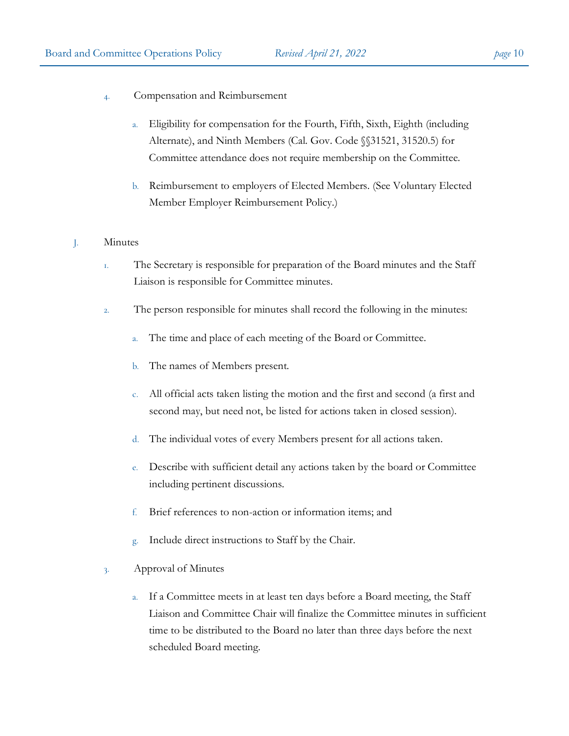- 4. Compensation and Reimbursement
	- a. Eligibility for compensation for the Fourth, Fifth, Sixth, Eighth (including Alternate), and Ninth Members (Cal. Gov. Code §§31521, 31520.5) for Committee attendance does not require membership on the Committee.
	- b. Reimbursement to employers of Elected Members. (See Voluntary Elected Member Employer Reimbursement Policy.)

## J. Minutes

- 1. The Secretary is responsible for preparation of the Board minutes and the Staff Liaison is responsible for Committee minutes.
- 2. The person responsible for minutes shall record the following in the minutes:
	- a. The time and place of each meeting of the Board or Committee.
	- b. The names of Members present.
	- c. All official acts taken listing the motion and the first and second (a first and second may, but need not, be listed for actions taken in closed session).
	- d. The individual votes of every Members present for all actions taken.
	- e. Describe with sufficient detail any actions taken by the board or Committee including pertinent discussions.
	- f. Brief references to non-action or information items; and
	- g. Include direct instructions to Staff by the Chair.
- 3. Approval of Minutes
	- a. If a Committee meets in at least ten days before a Board meeting, the Staff Liaison and Committee Chair will finalize the Committee minutes in sufficient time to be distributed to the Board no later than three days before the next scheduled Board meeting.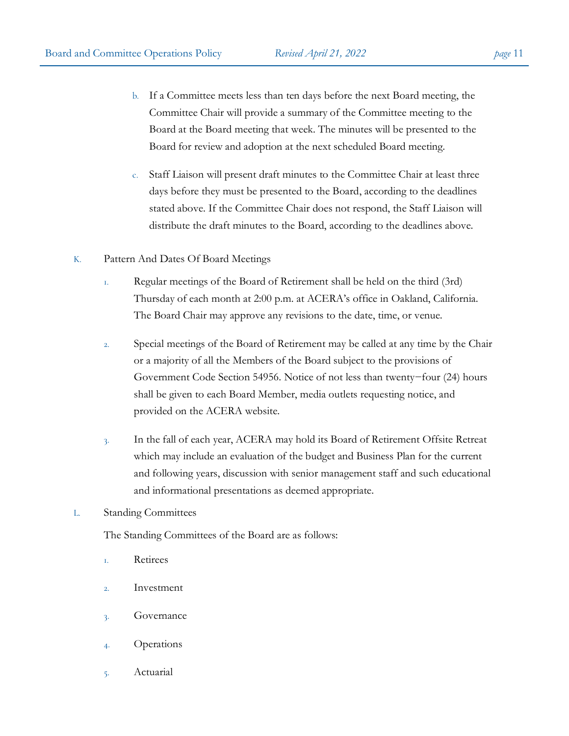- b. If a Committee meets less than ten days before the next Board meeting, the Committee Chair will provide a summary of the Committee meeting to the Board at the Board meeting that week. The minutes will be presented to the Board for review and adoption at the next scheduled Board meeting.
- c. Staff Liaison will present draft minutes to the Committee Chair at least three days before they must be presented to the Board, according to the deadlines stated above. If the Committee Chair does not respond, the Staff Liaison will distribute the draft minutes to the Board, according to the deadlines above.
- K. Pattern And Dates Of Board Meetings
	- 1. Regular meetings of the Board of Retirement shall be held on the third (3rd) Thursday of each month at 2:00 p.m. at ACERA's office in Oakland, California. The Board Chair may approve any revisions to the date, time, or venue.
	- 2. Special meetings of the Board of Retirement may be called at any time by the Chair or a majority of all the Members of the Board subject to the provisions of Government Code Section 54956. Notice of not less than twenty−four (24) hours shall be given to each Board Member, media outlets requesting notice, and provided on the ACERA website.
	- 3. In the fall of each year, ACERA may hold its Board of Retirement Offsite Retreat which may include an evaluation of the budget and Business Plan for the current and following years, discussion with senior management staff and such educational and informational presentations as deemed appropriate.

### L. Standing Committees

The Standing Committees of the Board are as follows:

- 1. Retirees
- 2. Investment
- 3. Governance
- 4. Operations
- 5. Actuarial